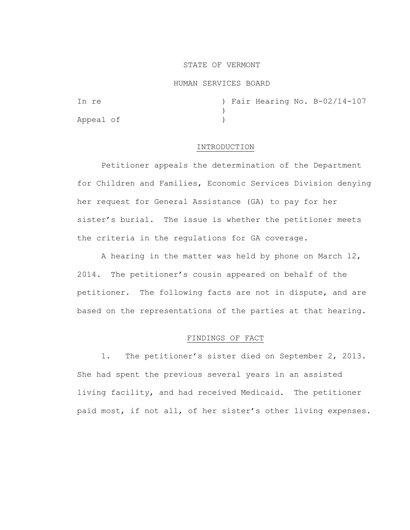### STATE OF VERMONT

#### HUMAN SERVICES BOARD

In re  $\sqrt{14-107}$  ) Fair Hearing No. B-02/14-107  $\lambda$ Appeal of )

## INTRODUCTION

Petitioner appeals the determination of the Department for Children and Families, Economic Services Division denying her request for General Assistance (GA) to pay for her sister's burial. The issue is whether the petitioner meets the criteria in the regulations for GA coverage.

A hearing in the matter was held by phone on March 12, 2014. The petitioner's cousin appeared on behalf of the petitioner. The following facts are not in dispute, and are based on the representations of the parties at that hearing.

## FINDINGS OF FACT

1. The petitioner's sister died on September 2, 2013. She had spent the previous several years in an assisted living facility, and had received Medicaid. The petitioner paid most, if not all, of her sister's other living expenses.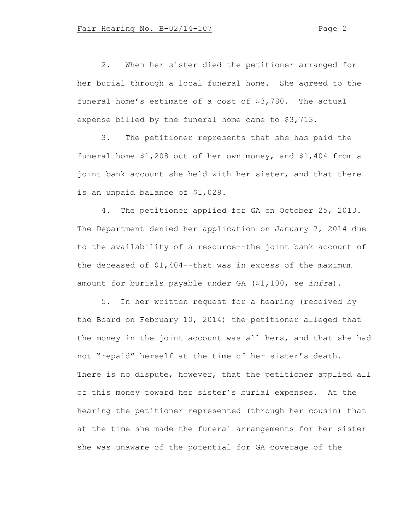2. When her sister died the petitioner arranged for her burial through a local funeral home. She agreed to the funeral home's estimate of a cost of \$3,780. The actual expense billed by the funeral home came to \$3,713.

3. The petitioner represents that she has paid the funeral home \$1,208 out of her own money, and \$1,404 from a joint bank account she held with her sister, and that there is an unpaid balance of \$1,029.

4. The petitioner applied for GA on October 25, 2013. The Department denied her application on January 7, 2014 due to the availability of a resource--the joint bank account of the deceased of \$1,404--that was in excess of the maximum amount for burials payable under GA (\$1,100, se *infra*).

5. In her written request for a hearing (received by the Board on February 10, 2014) the petitioner alleged that the money in the joint account was all hers, and that she had not "repaid" herself at the time of her sister's death. There is no dispute, however, that the petitioner applied all of this money toward her sister's burial expenses. At the hearing the petitioner represented (through her cousin) that at the time she made the funeral arrangements for her sister she was unaware of the potential for GA coverage of the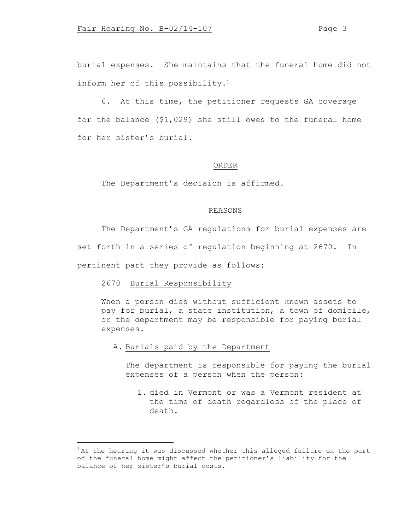burial expenses. She maintains that the funeral home did not inform her of this possibility.<sup>1</sup>

6. At this time, the petitioner requests GA coverage for the balance (\$1,029) she still owes to the funeral home for her sister's burial.

### ORDER

The Department's decision is affirmed.

## REASONS

The Department's GA regulations for burial expenses are set forth in a series of regulation beginning at 2670. In pertinent part they provide as follows:

2670 Burial Responsibility

When a person dies without sufficient known assets to pay for burial, a state institution, a town of domicile, or the department may be responsible for paying burial expenses.

A. Burials paid by the Department

The department is responsible for paying the burial expenses of a person when the person:

1. died in Vermont or was a Vermont resident at the time of death regardless of the place of death.

<sup>&</sup>lt;sup>1</sup> At the hearing it was discussed whether this alleged failure on the part of the funeral home might affect the petitioner's liability for the balance of her sister's burial costs.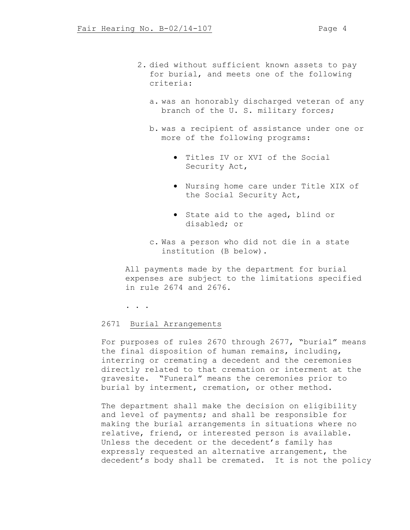- 2. died without sufficient known assets to pay for burial, and meets one of the following criteria:
	- a. was an honorably discharged veteran of any branch of the U. S. military forces;
	- b. was a recipient of assistance under one or more of the following programs:
		- Titles IV or XVI of the Social Security Act,
		- Nursing home care under Title XIX of the Social Security Act,
		- State aid to the aged, blind or disabled; or
	- c. Was a person who did not die in a state institution (B below).

All payments made by the department for burial expenses are subject to the limitations specified in rule 2674 and 2676.

. . .

# 2671 Burial Arrangements

For purposes of rules 2670 through 2677, "burial" means the final disposition of human remains, including, interring or cremating a decedent and the ceremonies directly related to that cremation or interment at the gravesite. "Funeral" means the ceremonies prior to burial by interment, cremation, or other method.

The department shall make the decision on eligibility and level of payments; and shall be responsible for making the burial arrangements in situations where no relative, friend, or interested person is available. Unless the decedent or the decedent's family has expressly requested an alternative arrangement, the decedent's body shall be cremated. It is not the policy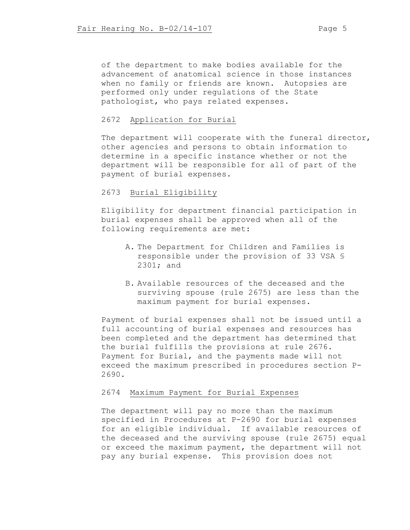of the department to make bodies available for the advancement of anatomical science in those instances when no family or friends are known. Autopsies are performed only under regulations of the State pathologist, who pays related expenses.

# 2672 Application for Burial

The department will cooperate with the funeral director, other agencies and persons to obtain information to determine in a specific instance whether or not the department will be responsible for all of part of the payment of burial expenses.

# 2673 Burial Eligibility

Eligibility for department financial participation in burial expenses shall be approved when all of the following requirements are met:

- A. The Department for Children and Families is responsible under the provision of 33 VSA § 2301; and
- B. Available resources of the deceased and the surviving spouse (rule 2675) are less than the maximum payment for burial expenses.

Payment of burial expenses shall not be issued until a full accounting of burial expenses and resources has been completed and the department has determined that the burial fulfills the provisions at rule 2676. Payment for Burial, and the payments made will not exceed the maximum prescribed in procedures section P-2690.

## 2674 Maximum Payment for Burial Expenses

The department will pay no more than the maximum specified in Procedures at P-2690 for burial expenses for an eligible individual. If available resources of the deceased and the surviving spouse (rule 2675) equal or exceed the maximum payment, the department will not pay any burial expense. This provision does not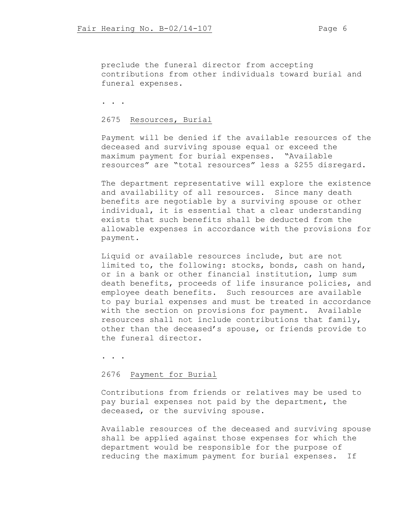preclude the funeral director from accepting contributions from other individuals toward burial and funeral expenses.

. . .

## 2675 Resources, Burial

Payment will be denied if the available resources of the deceased and surviving spouse equal or exceed the maximum payment for burial expenses. "Available resources" are "total resources" less a \$255 disregard.

The department representative will explore the existence and availability of all resources. Since many death benefits are negotiable by a surviving spouse or other individual, it is essential that a clear understanding exists that such benefits shall be deducted from the allowable expenses in accordance with the provisions for payment.

Liquid or available resources include, but are not limited to, the following: stocks, bonds, cash on hand, or in a bank or other financial institution, lump sum death benefits, proceeds of life insurance policies, and employee death benefits. Such resources are available to pay burial expenses and must be treated in accordance with the section on provisions for payment. Available resources shall not include contributions that family, other than the deceased's spouse, or friends provide to the funeral director.

. . .

### 2676 Payment for Burial

Contributions from friends or relatives may be used to pay burial expenses not paid by the department, the deceased, or the surviving spouse.

Available resources of the deceased and surviving spouse shall be applied against those expenses for which the department would be responsible for the purpose of reducing the maximum payment for burial expenses. If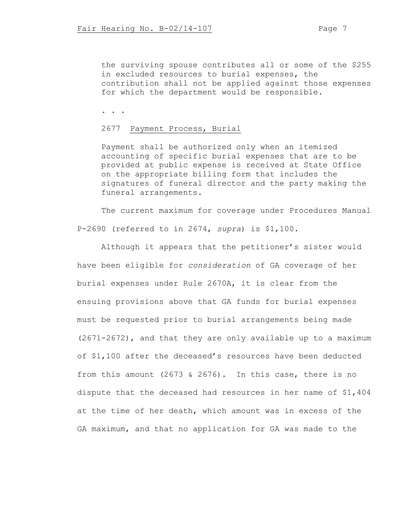the surviving spouse contributes all or some of the \$255 in excluded resources to burial expenses, the contribution shall not be applied against those expenses for which the department would be responsible.

. . .

## 2677 Payment Process, Burial

Payment shall be authorized only when an itemized accounting of specific burial expenses that are to be provided at public expense is received at State Office on the appropriate billing form that includes the signatures of funeral director and the party making the funeral arrangements.

The current maximum for coverage under Procedures Manual P-2690 (referred to in 2674, *supra*) is \$1,100.

Although it appears that the petitioner's sister would have been eligible for *consideration* of GA coverage of her burial expenses under Rule 2670A, it is clear from the ensuing provisions above that GA funds for burial expenses must be requested prior to burial arrangements being made (2671-2672), and that they are only available up to a maximum of \$1,100 after the deceased's resources have been deducted from this amount (2673 & 2676). In this case, there is no dispute that the deceased had resources in her name of \$1,404 at the time of her death, which amount was in excess of the GA maximum, and that no application for GA was made to the